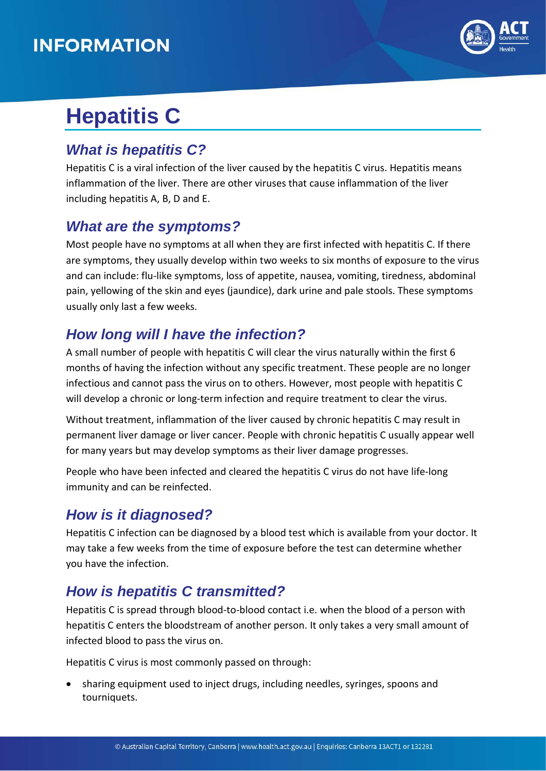## **INFORMATION**



# **Hepatitis C**

#### *What is hepatitis C?*

Hepatitis C is a viral infection of the liver caused by the hepatitis C virus. Hepatitis means inflammation of the liver. There are other viruses that cause inflammation of the liver including hepatitis A, B, D and E.

#### *What are the symptoms?*

Most people have no symptoms at all when they are first infected with hepatitis C. If there are symptoms, they usually develop within two weeks to six months of exposure to the virus and can include: flu-like symptoms, loss of appetite, nausea, vomiting, tiredness, abdominal pain, yellowing of the skin and eyes (jaundice), dark urine and pale stools. These symptoms usually only last a few weeks.

### *How long will I have the infection?*

A small number of people with hepatitis C will clear the virus naturally within the first 6 months of having the infection without any specific treatment. These people are no longer infectious and cannot pass the virus on to others. However, most people with hepatitis C will develop a chronic or long-term infection and require treatment to clear the virus.

Without treatment, inflammation of the liver caused by chronic hepatitis C may result in permanent liver damage or liver cancer. People with chronic hepatitis C usually appear well for many years but may develop symptoms as their liver damage progresses.

People who have been infected and cleared the hepatitis C virus do not have life-long immunity and can be reinfected.

#### *How is it diagnosed?*

Hepatitis C infection can be diagnosed by a blood test which is available from your doctor. It may take a few weeks from the time of exposure before the test can determine whether you have the infection.

#### *How is hepatitis C transmitted?*

Hepatitis C is spread through blood-to-blood contact i.e. when the blood of a person with hepatitis C enters the bloodstream of another person. It only takes a very small amount of infected blood to pass the virus on.

Hepatitis C virus is most commonly passed on through:

• sharing equipment used to inject drugs, including needles, syringes, spoons and tourniquets.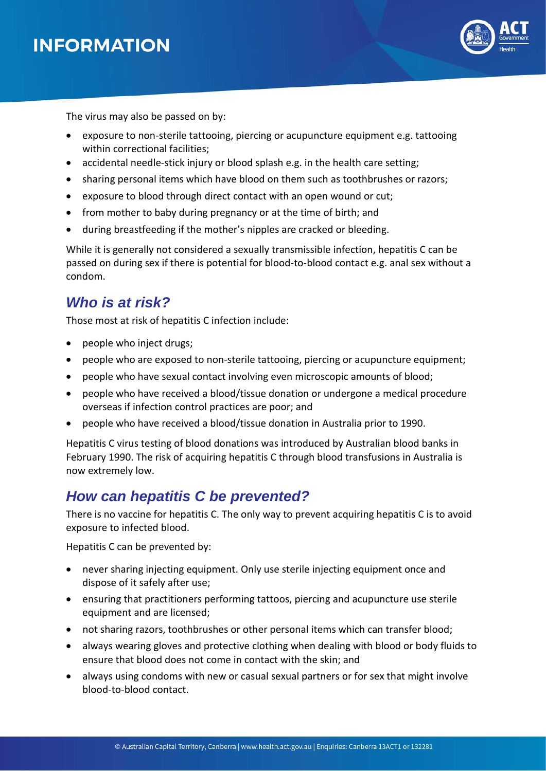

The virus may also be passed on by:

- exposure to non-sterile tattooing, piercing or acupuncture equipment e.g. tattooing within correctional facilities;
- accidental needle-stick injury or blood splash e.g. in the health care setting;
- sharing personal items which have blood on them such as toothbrushes or razors;
- exposure to blood through direct contact with an open wound or cut;
- from mother to baby during pregnancy or at the time of birth; and
- during breastfeeding if the mother's nipples are cracked or bleeding.

While it is generally not considered a sexually transmissible infection, hepatitis C can be passed on during sex if there is potential for blood-to-blood contact e.g. anal sex without a condom.

#### *Who is at risk?*

Those most at risk of hepatitis C infection include:

- people who inject drugs;
- people who are exposed to non-sterile tattooing, piercing or acupuncture equipment;
- people who have sexual contact involving even microscopic amounts of blood;
- people who have received a blood/tissue donation or undergone a medical procedure overseas if infection control practices are poor; and
- people who have received a blood/tissue donation in Australia prior to 1990.

Hepatitis C virus testing of blood donations was introduced by Australian blood banks in February 1990. The risk of acquiring hepatitis C through blood transfusions in Australia is now extremely low.

#### *How can hepatitis C be prevented?*

There is no vaccine for hepatitis C. The only way to prevent acquiring hepatitis C is to avoid exposure to infected blood.

Hepatitis C can be prevented by:

- never sharing injecting equipment. Only use sterile injecting equipment once and dispose of it safely after use;
- ensuring that practitioners performing tattoos, piercing and acupuncture use sterile equipment and are licensed;
- not sharing razors, toothbrushes or other personal items which can transfer blood;
- always wearing gloves and protective clothing when dealing with blood or body fluids to ensure that blood does not come in contact with the skin; and
- always using condoms with new or casual sexual partners or for sex that might involve blood-to-blood contact.